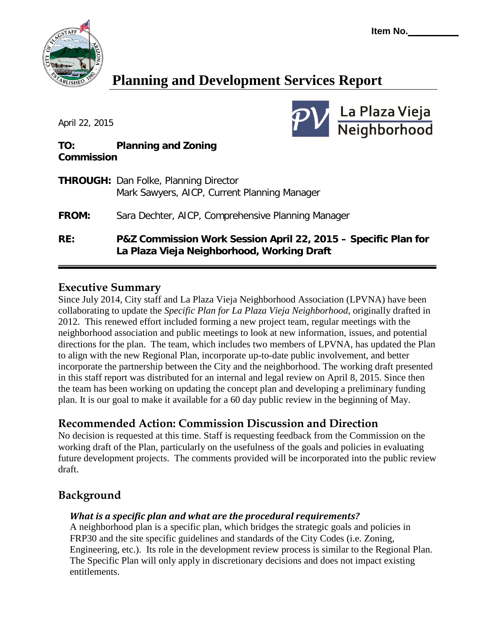

# **Planning and Development Services Report**

April 22, 2015



### **TO: Planning and Zoning Commission**

| RE:          | P&Z Commission Work Session April 22, 2015 - Specific Plan for<br>La Plaza Vieja Neighborhood, Working Draft |
|--------------|--------------------------------------------------------------------------------------------------------------|
| <b>FROM:</b> | Sara Dechter, AICP, Comprehensive Planning Manager                                                           |
|              | <b>THROUGH:</b> Dan Folke, Planning Director<br>Mark Sawyers, AICP, Current Planning Manager                 |

## **Executive Summary**

Since July 2014, City staff and La Plaza Vieja Neighborhood Association (LPVNA) have been collaborating to update the *Specific Plan for La Plaza Vieja Neighborhood*, originally drafted in 2012. This renewed effort included forming a new project team, regular meetings with the neighborhood association and public meetings to look at new information, issues, and potential directions for the plan. The team, which includes two members of LPVNA, has updated the Plan to align with the new Regional Plan, incorporate up-to-date public involvement, and better incorporate the partnership between the City and the neighborhood. The working draft presented in this staff report was distributed for an internal and legal review on April 8, 2015. Since then the team has been working on updating the concept plan and developing a preliminary funding plan. It is our goal to make it available for a 60 day public review in the beginning of May.

# **Recommended Action: Commission Discussion and Direction**

No decision is requested at this time. Staff is requesting feedback from the Commission on the working draft of the Plan, particularly on the usefulness of the goals and policies in evaluating future development projects. The comments provided will be incorporated into the public review draft.

# **Background**

## *What is a specific plan and what are the procedural requirements?*

A neighborhood plan is a specific plan, which bridges the strategic goals and policies in FRP30 and the site specific guidelines and standards of the City Codes (i.e. Zoning, Engineering, etc.). Its role in the development review process is similar to the Regional Plan. The Specific Plan will only apply in discretionary decisions and does not impact existing entitlements.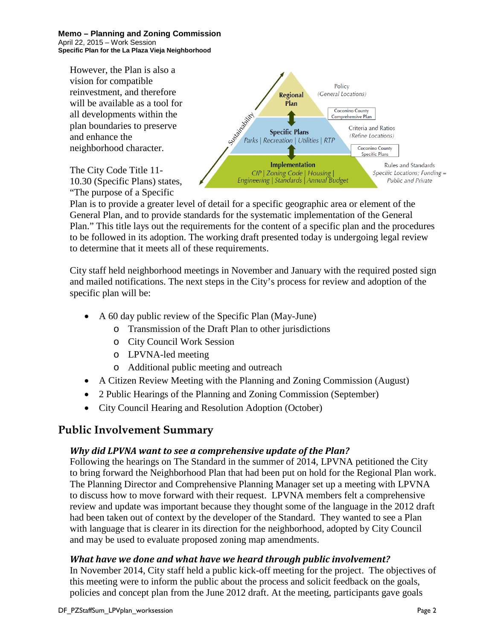**Memo – Planning and Zoning Commission**  April 22, 2015 – Work Session **Specific Plan for the La Plaza Vieja Neighborhood**

However, the Plan is also a vision for compatible reinvestment, and therefore will be available as a tool for all developments within the plan boundaries to preserve and enhance the neighborhood character.

The City Code Title 11- 10.30 (Specific Plans) states, "The purpose of a Specific



Plan is to provide a greater level of detail for a specific geographic area or element of the General Plan, and to provide standards for the systematic implementation of the General Plan." This title lays out the requirements for the content of a specific plan and the procedures to be followed in its adoption. The working draft presented today is undergoing legal review to determine that it meets all of these requirements.

City staff held neighborhood meetings in November and January with the required posted sign and mailed notifications. The next steps in the City's process for review and adoption of the specific plan will be:

- A 60 day public review of the Specific Plan (May-June)
	- o Transmission of the Draft Plan to other jurisdictions
	- o City Council Work Session
	- o LPVNA-led meeting
	- o Additional public meeting and outreach
- A Citizen Review Meeting with the Planning and Zoning Commission (August)
- 2 Public Hearings of the Planning and Zoning Commission (September)
- City Council Hearing and Resolution Adoption (October)

## **Public Involvement Summary**

#### *Why did LPVNA want to see a comprehensive update of the Plan?*

Following the hearings on The Standard in the summer of 2014, LPVNA petitioned the City to bring forward the Neighborhood Plan that had been put on hold for the Regional Plan work. The Planning Director and Comprehensive Planning Manager set up a meeting with LPVNA to discuss how to move forward with their request. LPVNA members felt a comprehensive review and update was important because they thought some of the language in the 2012 draft had been taken out of context by the developer of the Standard. They wanted to see a Plan with language that is clearer in its direction for the neighborhood, adopted by City Council and may be used to evaluate proposed zoning map amendments.

#### *What have we done and what have we heard through public involvement?*

In November 2014, City staff held a public kick-off meeting for the project. The objectives of this meeting were to inform the public about the process and solicit feedback on the goals, policies and concept plan from the June 2012 draft. At the meeting, participants gave goals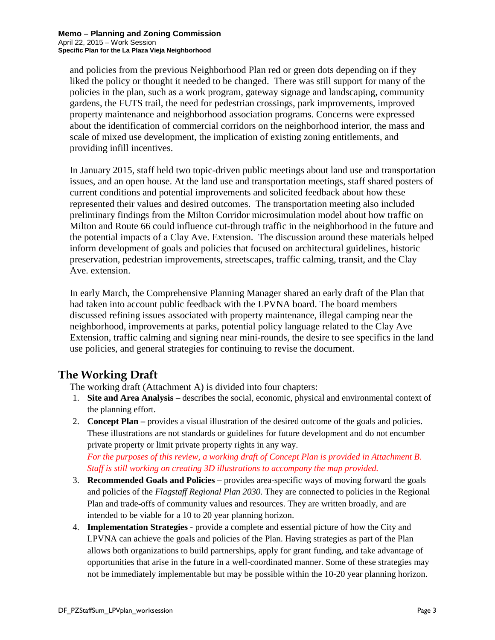and policies from the previous Neighborhood Plan red or green dots depending on if they liked the policy or thought it needed to be changed. There was still support for many of the policies in the plan, such as a work program, gateway signage and landscaping, community gardens, the FUTS trail, the need for pedestrian crossings, park improvements, improved property maintenance and neighborhood association programs. Concerns were expressed about the identification of commercial corridors on the neighborhood interior, the mass and scale of mixed use development, the implication of existing zoning entitlements, and providing infill incentives.

In January 2015, staff held two topic-driven public meetings about land use and transportation issues, and an open house. At the land use and transportation meetings, staff shared posters of current conditions and potential improvements and solicited feedback about how these represented their values and desired outcomes. The transportation meeting also included preliminary findings from the Milton Corridor microsimulation model about how traffic on Milton and Route 66 could influence cut-through traffic in the neighborhood in the future and the potential impacts of a Clay Ave. Extension. The discussion around these materials helped inform development of goals and policies that focused on architectural guidelines, historic preservation, pedestrian improvements, streetscapes, traffic calming, transit, and the Clay Ave. extension.

In early March, the Comprehensive Planning Manager shared an early draft of the Plan that had taken into account public feedback with the LPVNA board. The board members discussed refining issues associated with property maintenance, illegal camping near the neighborhood, improvements at parks, potential policy language related to the Clay Ave Extension, traffic calming and signing near mini-rounds, the desire to see specifics in the land use policies, and general strategies for continuing to revise the document.

# **The Working Draft**

The working draft (Attachment A) is divided into four chapters:

- 1. **Site and Area Analysis –** describes the social, economic, physical and environmental context of the planning effort.
- 2. **Concept Plan –** provides a visual illustration of the desired outcome of the goals and policies. These illustrations are not standards or guidelines for future development and do not encumber private property or limit private property rights in any way. *For the purposes of this review, a working draft of Concept Plan is provided in Attachment B. Staff is still working on creating 3D illustrations to accompany the map provided.*
- 3. **Recommended Goals and Policies –** provides area-specific ways of moving forward the goals and policies of the *Flagstaff Regional Plan 2030*. They are connected to policies in the Regional Plan and trade-offs of community values and resources. They are written broadly, and are intended to be viable for a 10 to 20 year planning horizon.
- 4. **Implementation Strategies -** provide a complete and essential picture of how the City and LPVNA can achieve the goals and policies of the Plan. Having strategies as part of the Plan allows both organizations to build partnerships, apply for grant funding, and take advantage of opportunities that arise in the future in a well-coordinated manner. Some of these strategies may not be immediately implementable but may be possible within the 10-20 year planning horizon.